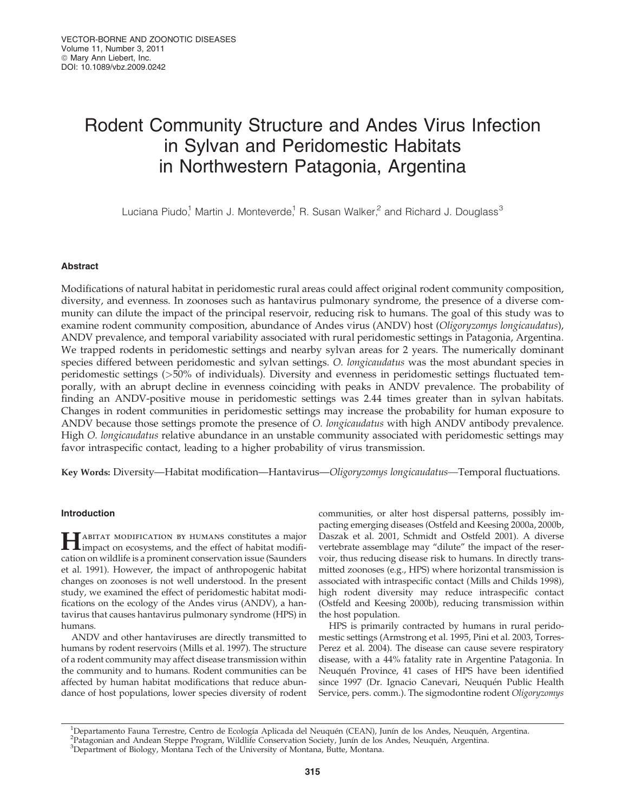# Rodent Community Structure and Andes Virus Infection in Sylvan and Peridomestic Habitats in Northwestern Patagonia, Argentina

Luciana Piudo,<sup>1</sup> Martin J. Monteverde,<sup>1</sup> R. Susan Walker,<sup>2</sup> and Richard J. Douglass<sup>3</sup>

## Abstract

Modifications of natural habitat in peridomestic rural areas could affect original rodent community composition, diversity, and evenness. In zoonoses such as hantavirus pulmonary syndrome, the presence of a diverse community can dilute the impact of the principal reservoir, reducing risk to humans. The goal of this study was to examine rodent community composition, abundance of Andes virus (ANDV) host (Oligoryzomys longicaudatus), ANDV prevalence, and temporal variability associated with rural peridomestic settings in Patagonia, Argentina. We trapped rodents in peridomestic settings and nearby sylvan areas for 2 years. The numerically dominant species differed between peridomestic and sylvan settings. O. longicaudatus was the most abundant species in peridomestic settings (>50% of individuals). Diversity and evenness in peridomestic settings fluctuated temporally, with an abrupt decline in evenness coinciding with peaks in ANDV prevalence. The probability of finding an ANDV-positive mouse in peridomestic settings was 2.44 times greater than in sylvan habitats. Changes in rodent communities in peridomestic settings may increase the probability for human exposure to ANDV because those settings promote the presence of *O. longicaudatus* with high ANDV antibody prevalence. High O. longicaudatus relative abundance in an unstable community associated with peridomestic settings may favor intraspecific contact, leading to a higher probability of virus transmission.

Key Words: Diversity—Habitat modification—Hantavirus—Oligoryzomys longicaudatus—Temporal fluctuations.

## Introduction

**HABITAT MODIFICATION BY HUMANS constitutes a major** impact on ecosystems, and the effect of habitat modification on wildlife is a prominent conservation issue (Saunders et al. 1991). However, the impact of anthropogenic habitat changes on zoonoses is not well understood. In the present study, we examined the effect of peridomestic habitat modifications on the ecology of the Andes virus (ANDV), a hantavirus that causes hantavirus pulmonary syndrome (HPS) in humans.

ANDV and other hantaviruses are directly transmitted to humans by rodent reservoirs (Mills et al. 1997). The structure of a rodent community may affect disease transmission within the community and to humans. Rodent communities can be affected by human habitat modifications that reduce abundance of host populations, lower species diversity of rodent

communities, or alter host dispersal patterns, possibly impacting emerging diseases (Ostfeld and Keesing 2000a, 2000b, Daszak et al. 2001, Schmidt and Ostfeld 2001). A diverse vertebrate assemblage may "dilute" the impact of the reservoir, thus reducing disease risk to humans. In directly transmitted zoonoses (e.g., HPS) where horizontal transmission is associated with intraspecific contact (Mills and Childs 1998), high rodent diversity may reduce intraspecific contact (Ostfeld and Keesing 2000b), reducing transmission within the host population.

HPS is primarily contracted by humans in rural peridomestic settings (Armstrong et al. 1995, Pini et al. 2003, Torres-Perez et al. 2004). The disease can cause severe respiratory disease, with a 44% fatality rate in Argentine Patagonia. In Neuquén Province, 41 cases of HPS have been identified since 1997 (Dr. Ignacio Canevari, Neuquén Public Health Service, pers. comm.). The sigmodontine rodent Oligoryzomys

<sup>&</sup>lt;sup>1</sup>Departamento Fauna Terrestre, Centro de Ecología Aplicada del Neuquén (CEAN), Junín de los Andes, Neuquén, Argentina.<br><sup>2</sup>Patagonian and Andean Steppe Program, Wildlife Conservation Society, Junín de los Andes, Neuguén, <sup>2</sup>Patagonian and Andean Steppe Program, Wildlife Conservation Society, Junín de los Andes, Neuquén, Argentina. Department of Biology, Montana Tech of the University of Montana, Butte, Montana.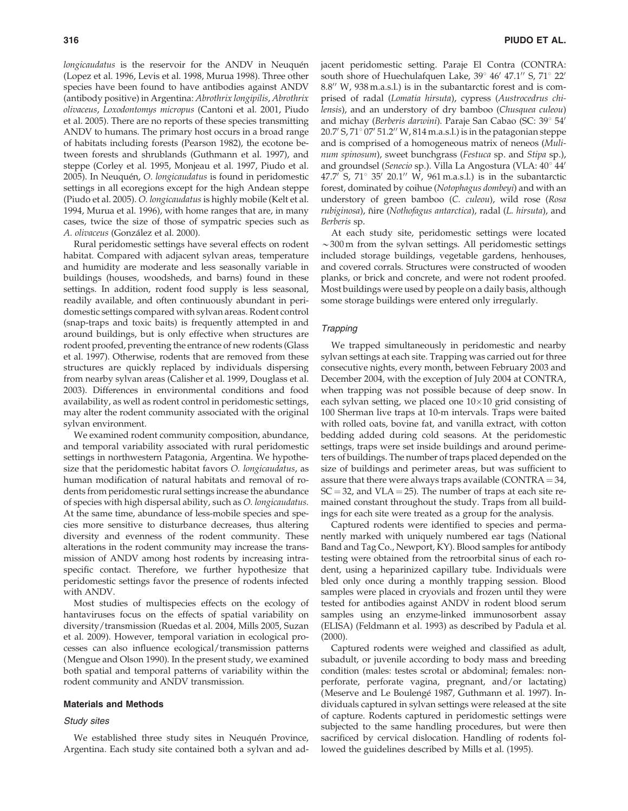longicaudatus is the reservoir for the ANDV in Neuquén (Lopez et al. 1996, Levis et al. 1998, Murua 1998). Three other species have been found to have antibodies against ANDV (antibody positive) in Argentina: Abrothrix longipilis, Abrothrix olivaceus, Loxodontomys micropus (Cantoni et al. 2001, Piudo et al. 2005). There are no reports of these species transmitting ANDV to humans. The primary host occurs in a broad range of habitats including forests (Pearson 1982), the ecotone between forests and shrublands (Guthmann et al. 1997), and steppe (Corley et al. 1995, Monjeau et al. 1997, Piudo et al. 2005). In Neuquén, O. longicaudatus is found in peridomestic settings in all ecoregions except for the high Andean steppe (Piudo et al. 2005). O. longicaudatus is highly mobile (Kelt et al. 1994, Murua et al. 1996), with home ranges that are, in many cases, twice the size of those of sympatric species such as A. olivaceus (González et al. 2000).

Rural peridomestic settings have several effects on rodent habitat. Compared with adjacent sylvan areas, temperature and humidity are moderate and less seasonally variable in buildings (houses, woodsheds, and barns) found in these settings. In addition, rodent food supply is less seasonal, readily available, and often continuously abundant in peridomestic settings compared with sylvan areas. Rodent control (snap-traps and toxic baits) is frequently attempted in and around buildings, but is only effective when structures are rodent proofed, preventing the entrance of new rodents (Glass et al. 1997). Otherwise, rodents that are removed from these structures are quickly replaced by individuals dispersing from nearby sylvan areas (Calisher et al. 1999, Douglass et al. 2003). Differences in environmental conditions and food availability, as well as rodent control in peridomestic settings, may alter the rodent community associated with the original sylvan environment.

We examined rodent community composition, abundance, and temporal variability associated with rural peridomestic settings in northwestern Patagonia, Argentina. We hypothesize that the peridomestic habitat favors O. longicaudatus, as human modification of natural habitats and removal of rodents from peridomestic rural settings increase the abundance of species with high dispersal ability, such as O. longicaudatus. At the same time, abundance of less-mobile species and species more sensitive to disturbance decreases, thus altering diversity and evenness of the rodent community. These alterations in the rodent community may increase the transmission of ANDV among host rodents by increasing intraspecific contact. Therefore, we further hypothesize that peridomestic settings favor the presence of rodents infected with ANDV.

Most studies of multispecies effects on the ecology of hantaviruses focus on the effects of spatial variability on diversity/transmission (Ruedas et al. 2004, Mills 2005, Suzan et al. 2009). However, temporal variation in ecological processes can also influence ecological/transmission patterns (Mengue and Olson 1990). In the present study, we examined both spatial and temporal patterns of variability within the rodent community and ANDV transmission.

## Materials and Methods

#### Study sites

We established three study sites in Neuquén Province, Argentina. Each study site contained both a sylvan and adjacent peridomestic setting. Paraje El Contra (CONTRA: south shore of Huechulafquen Lake,  $39^{\circ}$  46' 47.1" S, 71° 22'  $8.8''$  W,  $938$  m.a.s.l.) is in the subantarctic forest and is comprised of radal (Lomatia hirsuta), cypress (Austrocedrus chilensis), and an understory of dry bamboo (Chusquea culeou) and michay (Berberis darwini). Paraje San Cabao (SC: 39° 54'  $20.7^{\prime}$  S,  $71^{\circ}$  07' 51.2'' W, 814 m.a.s.l.) is in the patagonian steppe and is comprised of a homogeneous matrix of neneos (Mulinum spinosum), sweet bunchgrass (Festuca sp. and Stipa sp.), and groundsel (Senecio sp.). Villa La Angostura (VLA: 40° 44' 47.7<sup> $\sigma$ </sup> S, 71 $\degree$  35 $\degree$  20.1 $\degree$  W, 961 m.a.s.l.) is in the subantarctic forest, dominated by coihue (Notophagus dombeyi) and with an understory of green bamboo (C. culeou), wild rose (Rosa rubiginosa), ñire (Nothofagus antarctica), radal (L. hirsuta), and Berberis sp.

At each study site, peridomestic settings were located  $\sim$ 300 m from the sylvan settings. All peridomestic settings included storage buildings, vegetable gardens, henhouses, and covered corrals. Structures were constructed of wooden planks, or brick and concrete, and were not rodent proofed. Most buildings were used by people on a daily basis, although some storage buildings were entered only irregularly.

## **Trapping**

We trapped simultaneously in peridomestic and nearby sylvan settings at each site. Trapping was carried out for three consecutive nights, every month, between February 2003 and December 2004, with the exception of July 2004 at CONTRA, when trapping was not possible because of deep snow. In each sylvan setting, we placed one  $10\times10$  grid consisting of 100 Sherman live traps at 10-m intervals. Traps were baited with rolled oats, bovine fat, and vanilla extract, with cotton bedding added during cold seasons. At the peridomestic settings, traps were set inside buildings and around perimeters of buildings. The number of traps placed depended on the size of buildings and perimeter areas, but was sufficient to assure that there were always traps available (CONTRA  $=$  34,  $SC = 32$ , and  $VLA = 25$ ). The number of traps at each site remained constant throughout the study. Traps from all buildings for each site were treated as a group for the analysis.

Captured rodents were identified to species and permanently marked with uniquely numbered ear tags (National Band and Tag Co., Newport, KY). Blood samples for antibody testing were obtained from the retroorbital sinus of each rodent, using a heparinized capillary tube. Individuals were bled only once during a monthly trapping session. Blood samples were placed in cryovials and frozen until they were tested for antibodies against ANDV in rodent blood serum samples using an enzyme-linked immunosorbent assay (ELISA) (Feldmann et al. 1993) as described by Padula et al.  $(2000).$ 

Captured rodents were weighed and classified as adult, subadult, or juvenile according to body mass and breeding condition (males: testes scrotal or abdominal; females: nonperforate, perforate vagina, pregnant, and/or lactating) (Meserve and Le Boulenge´ 1987, Guthmann et al. 1997). Individuals captured in sylvan settings were released at the site of capture. Rodents captured in peridomestic settings were subjected to the same handling procedures, but were then sacrificed by cervical dislocation. Handling of rodents followed the guidelines described by Mills et al. (1995).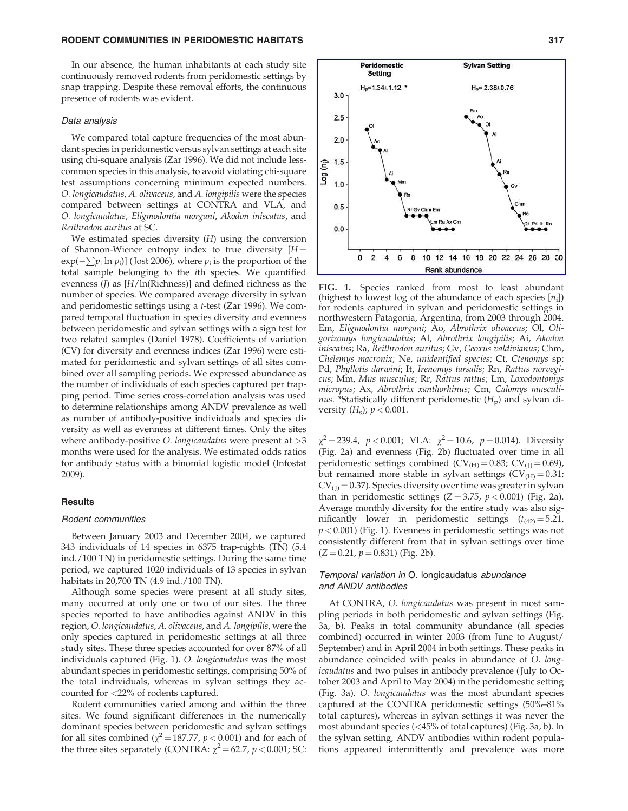## RODENT COMMUNITIES IN PERIDOMESTIC HABITATS **SUMMANITY COMMUNITIES IN PERIDOMESTIC** HABITATS

In our absence, the human inhabitants at each study site continuously removed rodents from peridomestic settings by snap trapping. Despite these removal efforts, the continuous presence of rodents was evident.

#### Data analysis

We compared total capture frequencies of the most abundant species in peridomestic versus sylvan settings at each site using chi-square analysis (Zar 1996). We did not include lesscommon species in this analysis, to avoid violating chi-square test assumptions concerning minimum expected numbers. O. longicaudatus, A. olivaceus, and A. longipilis were the species compared between settings at CONTRA and VLA, and O. longicaudatus, Eligmodontia morgani, Akodon iniscatus, and Reithrodon auritus at SC.

We estimated species diversity  $(H)$  using the conversion of Shannon-Wiener entropy index to true diversity  $[H =$  $\exp(-\sum p_i \ln p_i)$ ] (Jost 2006), where  $p_i$  is the proportion of the total sample belonging to the ith species. We quantified evenness  $(I)$  as  $[H/ln(Richness)]$  and defined richness as the number of species. We compared average diversity in sylvan and peridomestic settings using a t-test (Zar 1996). We compared temporal fluctuation in species diversity and evenness between peridomestic and sylvan settings with a sign test for two related samples (Daniel 1978). Coefficients of variation (CV) for diversity and evenness indices (Zar 1996) were estimated for peridomestic and sylvan settings of all sites combined over all sampling periods. We expressed abundance as the number of individuals of each species captured per trapping period. Time series cross-correlation analysis was used to determine relationships among ANDV prevalence as well as number of antibody-positive individuals and species diversity as well as evenness at different times. Only the sites where antibody-positive *O. longicaudatus* were present at  $>3$ months were used for the analysis. We estimated odds ratios for antibody status with a binomial logistic model (Infostat 2009).

## **Results**

#### Rodent communities

Between January 2003 and December 2004, we captured 343 individuals of 14 species in 6375 trap-nights (TN) (5.4 ind./100 TN) in peridomestic settings. During the same time period, we captured 1020 individuals of 13 species in sylvan habitats in 20,700 TN (4.9 ind./100 TN).

Although some species were present at all study sites, many occurred at only one or two of our sites. The three species reported to have antibodies against ANDV in this region, O. longicaudatus, A. olivaceus, and A. longipilis, were the only species captured in peridomestic settings at all three study sites. These three species accounted for over 87% of all individuals captured (Fig. 1). O. longicaudatus was the most abundant species in peridomestic settings, comprising 50% of the total individuals, whereas in sylvan settings they accounted for <22% of rodents captured.

Rodent communities varied among and within the three sites. We found significant differences in the numerically dominant species between peridomestic and sylvan settings for all sites combined ( $\chi^2$  = 187.77, p < 0.001) and for each of the three sites separately (CONTRA:  $\chi^2$  = 62.7, p < 0.001; SC:



FIG. 1. Species ranked from most to least abundant (highest to lowest log of the abundance of each species  $[n_i]$ ) for rodents captured in sylvan and peridomestic settings in northwestern Patagonia, Argentina, from 2003 through 2004. Em, Eligmodontia morgani; Ao, Abrothrix olivaceus; Ol, Oligorizomys longicaudatus; Al, Abrothrix longipilis; Ai, Akodon iniscatus; Ra, Reithrodon auritus; Gv, Geoxus valdivianus; Chm, Chelemys macronix; Ne, unidentified species; Ct, Ctenomys sp; Pd, Phyllotis darwini; It, Irenomys tarsalis; Rn, Rattus norvegicus; Mm, Mus musculus; Rr, Rattus rattus; Lm, Loxodontomys micropus; Ax, Abrothrix xanthorhinus; Cm, Calomys musculinus. \*Statistically different peridomestic  $(H_p)$  and sylvan diversity  $(H_s)$ ;  $p < 0.001$ .

 $\chi^2$  = 239.4, p < 0.001; VLA:  $\chi^2$  = 10.6, p = 0.014). Diversity (Fig. 2a) and evenness (Fig. 2b) fluctuated over time in all peridomestic settings combined  $(CV_{(H)} = 0.83; CV_{(J)} = 0.69)$ , but remained more stable in sylvan settings  $(CV_{(H)} = 0.31;$  $CV_{(1)} = 0.37$ ). Species diversity over time was greater in sylvan than in peridomestic settings  $(Z = 3.75, p < 0.001)$  (Fig. 2a). Average monthly diversity for the entire study was also significantly lower in peridomestic settings  $(t_{(42)} = 5.21,$  $p < 0.001$ ) (Fig. 1). Evenness in peridomestic settings was not consistently different from that in sylvan settings over time  $(Z = 0.21, p = 0.831)$  (Fig. 2b).

## Temporal variation in O. longicaudatus abundance and ANDV antibodies

At CONTRA, O. longicaudatus was present in most sampling periods in both peridomestic and sylvan settings (Fig. 3a, b). Peaks in total community abundance (all species combined) occurred in winter 2003 (from June to August/ September) and in April 2004 in both settings. These peaks in abundance coincided with peaks in abundance of O. longicaudatus and two pulses in antibody prevalence (July to October 2003 and April to May 2004) in the peridomestic setting (Fig. 3a). O. longicaudatus was the most abundant species captured at the CONTRA peridomestic settings (50%–81% total captures), whereas in sylvan settings it was never the most abundant species (<45% of total captures) (Fig. 3a, b). In the sylvan setting, ANDV antibodies within rodent populations appeared intermittently and prevalence was more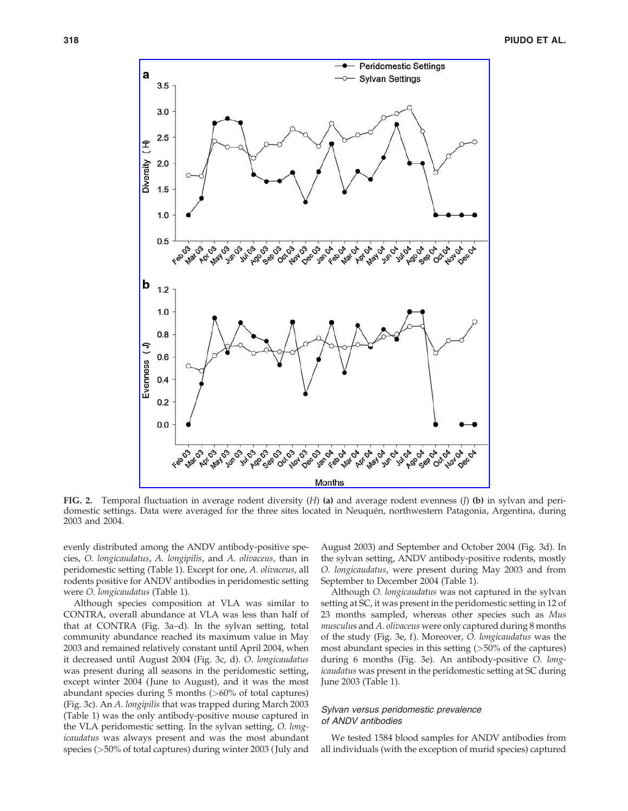

FIG. 2. Temporal fluctuation in average rodent diversity  $(H)$  (a) and average rodent evenness  $(J)$  (b) in sylvan and peridomestic settings. Data were averaged for the three sites located in Neuquén, northwestern Patagonia, Argentina, during 2003 and 2004.

evenly distributed among the ANDV antibody-positive species, O. longicaudatus, A. longipilis, and A. olivaceus, than in peridomestic setting (Table 1). Except for one, A. olivaceus, all rodents positive for ANDV antibodies in peridomestic setting were O. longicaudatus (Table 1).

Although species composition at VLA was similar to CONTRA, overall abundance at VLA was less than half of that at CONTRA (Fig. 3a–d). In the sylvan setting, total community abundance reached its maximum value in May 2003 and remained relatively constant until April 2004, when it decreased until August 2004 (Fig. 3c, d). O. longicaudatus was present during all seasons in the peridomestic setting, except winter 2004 (June to August), and it was the most abundant species during 5 months (>60% of total captures) (Fig. 3c). An A. longipilis that was trapped during March 2003 (Table 1) was the only antibody-positive mouse captured in the VLA peridomestic setting. In the sylvan setting, O. longicaudatus was always present and was the most abundant species (>50% of total captures) during winter 2003 ( July and August 2003) and September and October 2004 (Fig. 3d). In the sylvan setting, ANDV antibody-positive rodents, mostly O. longicaudatus, were present during May 2003 and from September to December 2004 (Table 1).

Although O. longicaudatus was not captured in the sylvan setting at SC, it was present in the peridomestic setting in 12 of 23 months sampled, whereas other species such as Mus musculus and A. olivaceus were only captured during 8 months of the study (Fig. 3e, f). Moreover, O. longicaudatus was the most abundant species in this setting (>50% of the captures) during 6 months (Fig. 3e). An antibody-positive O. longicaudatus was present in the peridomestic setting at SC during June 2003 (Table 1).

## Sylvan versus peridomestic prevalence of ANDV antibodies

We tested 1584 blood samples for ANDV antibodies from all individuals (with the exception of murid species) captured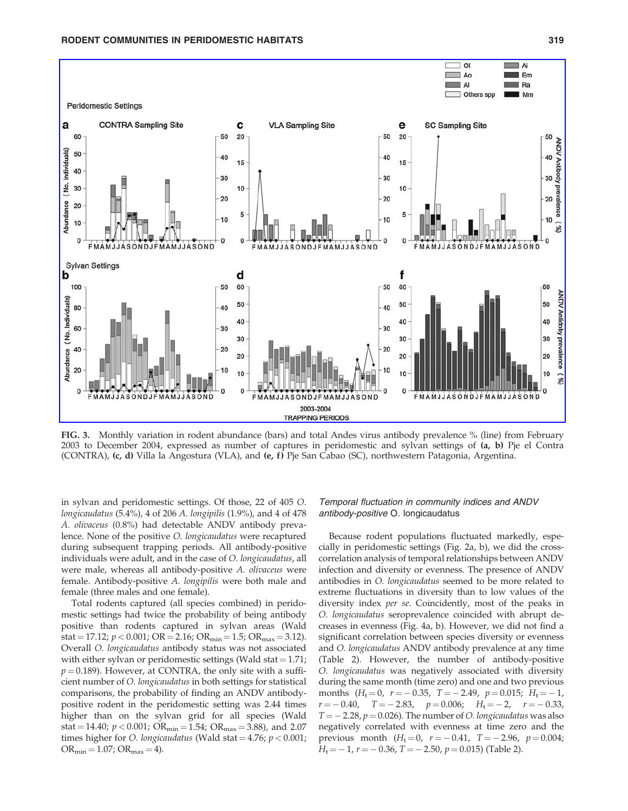

FIG. 3. Monthly variation in rodent abundance (bars) and total Andes virus antibody prevalence % (line) from February 2003 to December 2004, expressed as number of captures in peridomestic and sylvan settings of (a, b) Pje el Contra (CONTRA), (c, d) Villa la Angostura (VLA), and (e, f ) Pje San Cabao (SC), northwestern Patagonia, Argentina.

in sylvan and peridomestic settings. Of those, 22 of 405 O. longicaudatus (5.4%), 4 of 206 A. longipilis (1.9%), and 4 of 478 A. olivaceus (0.8%) had detectable ANDV antibody prevalence. None of the positive O. longicaudatus were recaptured during subsequent trapping periods. All antibody-positive individuals were adult, and in the case of O. longicaudatus, all were male, whereas all antibody-positive A. olivaceus were female. Antibody-positive A. longipilis were both male and female (three males and one female).

Total rodents captured (all species combined) in peridomestic settings had twice the probability of being antibody positive than rodents captured in sylvan areas (Wald stat = 17.12;  $p < 0.001$ ; OR = 2.16; OR<sub>min</sub> = 1.5; OR<sub>max</sub> = 3.12). Overall O. longicaudatus antibody status was not associated with either sylvan or peridomestic settings (Wald stat  $= 1.71$ ;  $p = 0.189$ ). However, at CONTRA, the only site with a sufficient number of O. longicaudatus in both settings for statistical comparisons, the probability of finding an ANDV antibodypositive rodent in the peridomestic setting was 2.44 times higher than on the sylvan grid for all species (Wald stat = 14.40;  $p < 0.001$ ; OR<sub>min</sub> = 1.54; OR<sub>max</sub> = 3.88), and 2.07 times higher for *O. longicaudatus* (Wald stat =  $4.76$ ;  $p < 0.001$ ;  $OR_{\text{min}} = 1.07$ ;  $OR_{\text{max}} = 4$ ).

## Temporal fluctuation in community indices and ANDV antibody-positive O. longicaudatus

Because rodent populations fluctuated markedly, especially in peridomestic settings (Fig. 2a, b), we did the crosscorrelation analysis of temporal relationships between ANDV infection and diversity or evenness. The presence of ANDV antibodies in O. longicaudatus seemed to be more related to extreme fluctuations in diversity than to low values of the diversity index per se. Coincidently, most of the peaks in O. longicaudatus seroprevalence coincided with abrupt decreases in evenness (Fig. 4a, b). However, we did not find a significant correlation between species diversity or evenness and O. longicaudatus ANDV antibody prevalence at any time (Table 2). However, the number of antibody-positive O. longicaudatus was negatively associated with diversity during the same month (time zero) and one and two previous months  $(H_t = 0, r = -0.35, T = -2.49, p = 0.015; H_t = -1,$  $r = -0.40$ ,  $T = -2.83$ ,  $p = 0.006$ ;  $H<sub>t</sub> = -2$ ,  $r = -0.33$ ,  $T = -2.28$ ,  $p = 0.026$ ). The number of O. longicaudatus was also negatively correlated with evenness at time zero and the previous month  $(H_t = 0, r = -0.41, T = -2.96, p = 0.004;$  $H_t = -1$ ,  $r = -0.36$ ,  $T = -2.50$ ,  $p = 0.015$ ) (Table 2).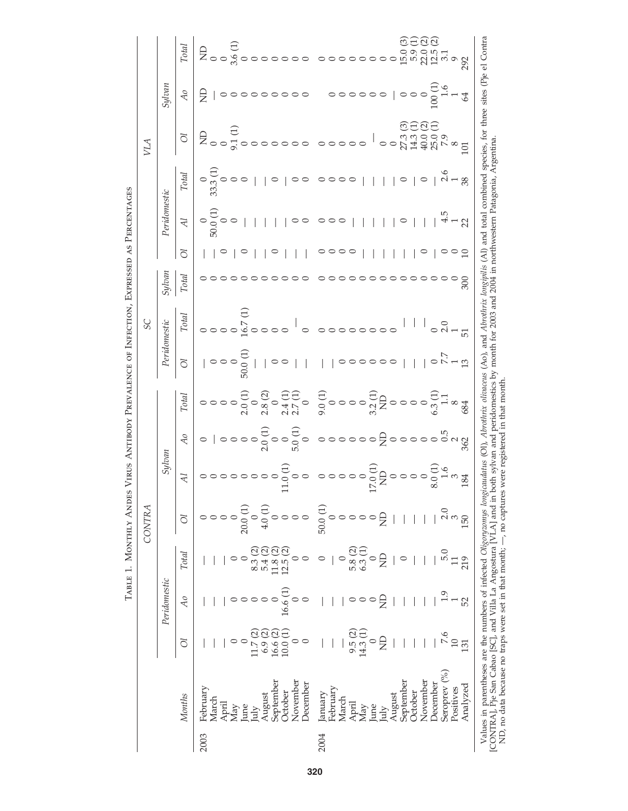|      |                                                                                                                                                                                                                |                                                 |                 |                                                | CONTRA                   |                                                                                                                                                                                                                                                                                                                             |                                                                                                 |                                                  |                                                                                                                                     | <b>SC</b>                    |                                  |                           |                                                  |                                 | VIA                                                                        |                                                                                                               |                            |
|------|----------------------------------------------------------------------------------------------------------------------------------------------------------------------------------------------------------------|-------------------------------------------------|-----------------|------------------------------------------------|--------------------------|-----------------------------------------------------------------------------------------------------------------------------------------------------------------------------------------------------------------------------------------------------------------------------------------------------------------------------|-------------------------------------------------------------------------------------------------|--------------------------------------------------|-------------------------------------------------------------------------------------------------------------------------------------|------------------------------|----------------------------------|---------------------------|--------------------------------------------------|---------------------------------|----------------------------------------------------------------------------|---------------------------------------------------------------------------------------------------------------|----------------------------|
|      |                                                                                                                                                                                                                |                                                 | Peridomestic    |                                                |                          | Sylvan                                                                                                                                                                                                                                                                                                                      |                                                                                                 |                                                  |                                                                                                                                     | Peridomestic                 | Sylvan                           |                           | Peridomestic                                     |                                 |                                                                            | Sylvan                                                                                                        |                            |
|      | Months                                                                                                                                                                                                         | õ                                               | Ao              | Total                                          | õ                        | $\overline{A}$                                                                                                                                                                                                                                                                                                              | $\mathcal{A}o$                                                                                  | Total                                            | $\tilde{O}$                                                                                                                         | Total                        | Total                            | ð                         | $\overline{A}$                                   | Total                           | $\tilde{O}$                                                                | $A$ o                                                                                                         | Total                      |
| 2003 | February                                                                                                                                                                                                       |                                                 |                 |                                                |                          |                                                                                                                                                                                                                                                                                                                             | $\circ$                                                                                         |                                                  |                                                                                                                                     |                              |                                  |                           |                                                  |                                 |                                                                            | g                                                                                                             |                            |
|      | March                                                                                                                                                                                                          |                                                 |                 |                                                |                          |                                                                                                                                                                                                                                                                                                                             |                                                                                                 |                                                  |                                                                                                                                     |                              |                                  |                           | $\begin{smallmatrix}0&0\\0&0&0\end{smallmatrix}$ | $\frac{0}{33.3}$                |                                                                            |                                                                                                               |                            |
|      | April                                                                                                                                                                                                          |                                                 |                 |                                                | $\circ \circ \circ$      |                                                                                                                                                                                                                                                                                                                             |                                                                                                 |                                                  |                                                                                                                                     |                              |                                  |                           |                                                  |                                 |                                                                            |                                                                                                               |                            |
|      | May                                                                                                                                                                                                            |                                                 |                 |                                                |                          | $\begin{array}{c} 0 & 0 & 0 & 0 & 0 \\ 0 & 0 & 0 & 0 & 0 \\ 0 & 0 & 0 & 0 & 0 \\ 0 & 0 & 0 & 0 & 0 \\ 0 & 0 & 0 & 0 & 0 \\ 0 & 0 & 0 & 0 & 0 \\ 0 & 0 & 0 & 0 & 0 \\ 0 & 0 & 0 & 0 & 0 \\ 0 & 0 & 0 & 0 & 0 \\ 0 & 0 & 0 & 0 & 0 \\ 0 & 0 & 0 & 0 & 0 \\ 0 & 0 & 0 & 0 & 0 & 0 \\ 0 & 0 & 0 & 0 & 0 & 0 \\ 0 & 0 & 0 & 0 &$ | $\begin{array}{c} 0 & 0 & 0 \\ 0 & 0 & 0 \\ 0 & 0 & 0 \\ 0 & 0 & 0 \\ 0 & 0 & 0 \\ \end{array}$ |                                                  | $\begin{array}{c c} \circ & \circ & \circ \\ \circ & \circ & \circ \\ \hline & \circ & \circ \\ \hline & \circ & \circ \end{array}$ |                              |                                  |                           | $\circ$                                          | $\circ \circ \circ$             | $2^{\circ}$ = $\frac{1}{2}$                                                | $\begin{array}{cccccccccc} \circ & \circ & \circ & \circ & \circ & \circ & \circ & \circ & \circ \end{array}$ | $\sum_{i=1}^{n}$           |
|      | Jume                                                                                                                                                                                                           |                                                 |                 |                                                | 20.0(1)                  |                                                                                                                                                                                                                                                                                                                             |                                                                                                 |                                                  |                                                                                                                                     |                              |                                  |                           |                                                  |                                 |                                                                            |                                                                                                               |                            |
|      | July                                                                                                                                                                                                           | $11.7(2)$<br>$6.9(2)$<br>$16.6(1)$<br>$10.0(1)$ |                 | $8.3$ (2)<br>$5.4$ (2)<br>$11.8$ (2)<br>$12.5$ |                          |                                                                                                                                                                                                                                                                                                                             |                                                                                                 |                                                  |                                                                                                                                     |                              |                                  |                           |                                                  |                                 |                                                                            |                                                                                                               |                            |
|      | August                                                                                                                                                                                                         |                                                 |                 |                                                |                          |                                                                                                                                                                                                                                                                                                                             |                                                                                                 |                                                  |                                                                                                                                     |                              |                                  |                           |                                                  |                                 |                                                                            |                                                                                                               |                            |
|      | September                                                                                                                                                                                                      |                                                 |                 |                                                |                          |                                                                                                                                                                                                                                                                                                                             |                                                                                                 |                                                  | $ $ $\circ$                                                                                                                         |                              |                                  | $\circ$                   |                                                  | $\circ$                         |                                                                            |                                                                                                               |                            |
|      | October                                                                                                                                                                                                        |                                                 | 16.6(           |                                                |                          |                                                                                                                                                                                                                                                                                                                             |                                                                                                 |                                                  |                                                                                                                                     |                              |                                  |                           |                                                  |                                 |                                                                            |                                                                                                               |                            |
|      | November                                                                                                                                                                                                       |                                                 | $\circ$         |                                                |                          |                                                                                                                                                                                                                                                                                                                             |                                                                                                 |                                                  |                                                                                                                                     |                              |                                  |                           | $\circ$                                          | $\circ$ $\circ$                 |                                                                            |                                                                                                               |                            |
|      | December                                                                                                                                                                                                       |                                                 |                 |                                                |                          |                                                                                                                                                                                                                                                                                                                             |                                                                                                 |                                                  |                                                                                                                                     |                              |                                  |                           |                                                  |                                 |                                                                            |                                                                                                               |                            |
| 2004 | January                                                                                                                                                                                                        |                                                 |                 | $\circ$                                        | 50.00000                 |                                                                                                                                                                                                                                                                                                                             |                                                                                                 |                                                  |                                                                                                                                     |                              |                                  |                           |                                                  | $\circ \circ \circ \circ \circ$ | $\circ \circ \circ \circ \circ$                                            |                                                                                                               | 00000000 H H H H H         |
|      | February                                                                                                                                                                                                       |                                                 |                 |                                                |                          |                                                                                                                                                                                                                                                                                                                             |                                                                                                 |                                                  |                                                                                                                                     |                              |                                  |                           | $\circ$                                          |                                 |                                                                            |                                                                                                               |                            |
|      | March                                                                                                                                                                                                          |                                                 |                 | $\circ$                                        |                          |                                                                                                                                                                                                                                                                                                                             | 0000002                                                                                         |                                                  | $\circ \circ \circ \circ \circ \circ \circ$                                                                                         |                              |                                  | $\circ \circ \circ \circ$ |                                                  |                                 |                                                                            | 0000000                                                                                                       |                            |
|      | April                                                                                                                                                                                                          | $9.5(2)$<br>14.3(1)                             |                 | 5.8 (1)<br>6.3 (1)                             |                          |                                                                                                                                                                                                                                                                                                                             |                                                                                                 |                                                  |                                                                                                                                     |                              |                                  |                           |                                                  |                                 |                                                                            |                                                                                                               |                            |
|      | May                                                                                                                                                                                                            |                                                 |                 |                                                |                          |                                                                                                                                                                                                                                                                                                                             |                                                                                                 |                                                  |                                                                                                                                     |                              |                                  |                           |                                                  |                                 |                                                                            |                                                                                                               |                            |
|      | June                                                                                                                                                                                                           | $\circ$                                         |                 | $\circ$                                        |                          |                                                                                                                                                                                                                                                                                                                             |                                                                                                 |                                                  |                                                                                                                                     |                              |                                  |                           |                                                  | $\overline{\phantom{a}}$        |                                                                            |                                                                                                               |                            |
|      | July                                                                                                                                                                                                           | $\Xi$                                           | ę               | $\Xi$                                          | g                        |                                                                                                                                                                                                                                                                                                                             |                                                                                                 |                                                  |                                                                                                                                     |                              |                                  |                           |                                                  | $\Box$                          | 0027.3                                                                     |                                                                                                               |                            |
|      | August <sub>.</sub>                                                                                                                                                                                            |                                                 |                 |                                                |                          |                                                                                                                                                                                                                                                                                                                             |                                                                                                 |                                                  |                                                                                                                                     |                              |                                  |                           |                                                  |                                 |                                                                            |                                                                                                               |                            |
|      | September                                                                                                                                                                                                      |                                                 |                 | $\circ$                                        |                          |                                                                                                                                                                                                                                                                                                                             |                                                                                                 |                                                  |                                                                                                                                     |                              | $\circ\circ\circ\circ\circ\circ$ |                           | $\circ$                                          | $\circ$                         |                                                                            | $\circ$ $\circ$                                                                                               |                            |
|      | October                                                                                                                                                                                                        |                                                 |                 |                                                |                          |                                                                                                                                                                                                                                                                                                                             |                                                                                                 |                                                  |                                                                                                                                     |                              |                                  |                           |                                                  |                                 | 14.3                                                                       |                                                                                                               |                            |
|      | November                                                                                                                                                                                                       |                                                 |                 |                                                | $\overline{\phantom{0}}$ |                                                                                                                                                                                                                                                                                                                             |                                                                                                 |                                                  |                                                                                                                                     |                              |                                  | $\circ$                   |                                                  | $\circ$                         |                                                                            |                                                                                                               |                            |
|      | December                                                                                                                                                                                                       |                                                 |                 |                                                |                          |                                                                                                                                                                                                                                                                                                                             |                                                                                                 |                                                  | 07.7                                                                                                                                |                              |                                  |                           |                                                  |                                 | $40.0$<br>$75.0$<br>$8$<br>$101$                                           |                                                                                                               |                            |
|      | $(\%)$<br>Seroprev                                                                                                                                                                                             | 7.6                                             |                 | 5.0                                            | $\frac{1}{2}$            |                                                                                                                                                                                                                                                                                                                             |                                                                                                 |                                                  |                                                                                                                                     |                              |                                  |                           | 4.5                                              | $\tilde{\circ}$                 |                                                                            |                                                                                                               | $rac{3}{9}$<br>$rac{3}{2}$ |
|      | Positives                                                                                                                                                                                                      | $\overline{10}$                                 |                 |                                                |                          |                                                                                                                                                                                                                                                                                                                             |                                                                                                 | $rac{8}{684}$                                    |                                                                                                                                     |                              |                                  | $\frac{0}{1}$             | $\frac{1}{2}$                                    | $\frac{1}{38}$                  |                                                                            |                                                                                                               |                            |
|      | Analyzed                                                                                                                                                                                                       | 131                                             | $\frac{1.9}{1}$ | 219                                            | <b>150</b>               |                                                                                                                                                                                                                                                                                                                             |                                                                                                 |                                                  |                                                                                                                                     |                              | 300                              |                           |                                                  |                                 |                                                                            | 64                                                                                                            |                            |
|      | Values in parentheses are the numbers of infected Oligoryzomys long<br>[CONTRA], Pje San Cabao [SC], and Villa La Angostura [VLA] and in<br>ND, no data because no traps were set in that month; -, no capture |                                                 |                 |                                                |                          | s were registered in that mont<br>both svlvan an<br><i>icaudatus</i> (OI)                                                                                                                                                                                                                                                   |                                                                                                 | Abrothrix olivaceus (<br>$\overline{\mathbf{1}}$ | month for                                                                                                                           | and ک<br>(Ao), and Abrothrix | longipilis                       |                           | northwestern                                     | l'atagonia,                     | (Al) and total combined species, for three sites (Pje el Contra<br>gentina |                                                                                                               |                            |

TABLE 1. MONTHLY ANDES VIRUS ANTIBODY PREVALENCE OF INFECTION, EXPRESSED AS PERCENTAGES Table 1. Monthly Andes Virus Antibody Prevalence of Infection, Expressed as Percentages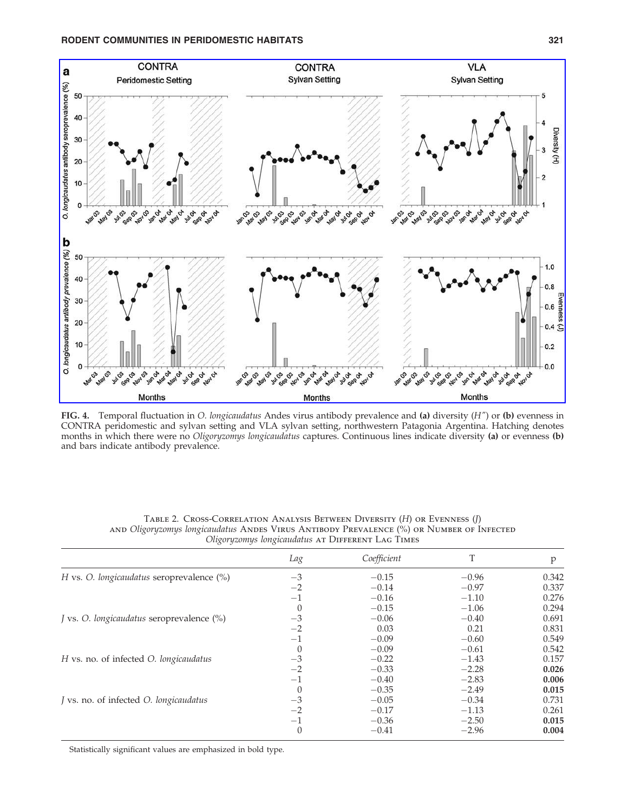

FIG. 4. Temporal fluctuation in O. longicaudatus Andes virus antibody prevalence and (a) diversity  $(H'')$  or (b) evenness in CONTRA peridomestic and sylvan setting and VLA sylvan setting, northwestern Patagonia Argentina. Hatching denotes months in which there were no Oligoryzomys longicaudatus captures. Continuous lines indicate diversity (a) or evenness (b) and bars indicate antibody prevalence.

|                                              | Lag     | Coefficient | T       | p     |
|----------------------------------------------|---------|-------------|---------|-------|
| H vs. O. longicaudatus seroprevalence (%)    | $-3$    | $-0.15$     | $-0.96$ | 0.342 |
|                                              | $-2$    | $-0.14$     | $-0.97$ | 0.337 |
|                                              | $-1$    | $-0.16$     | $-1.10$ | 0.276 |
|                                              | 0       | $-0.15$     | $-1.06$ | 0.294 |
| J vs. O. longicaudatus seroprevalence $(\%)$ | $-3$    | $-0.06$     | $-0.40$ | 0.691 |
|                                              | $-2$    | 0.03        | 0.21    | 0.831 |
|                                              | $-1$    | $-0.09$     | $-0.60$ | 0.549 |
|                                              |         | $-0.09$     | $-0.61$ | 0.542 |
| H vs. no. of infected O. longicaudatus       | -3      | $-0.22$     | $-1.43$ | 0.157 |
|                                              | $-2$    | $-0.33$     | $-2.28$ | 0.026 |
|                                              | $-1$    | $-0.40$     | $-2.83$ | 0.006 |
|                                              |         | $-0.35$     | $-2.49$ | 0.015 |
| J vs. no. of infected O. longicaudatus       | -3      | $-0.05$     | $-0.34$ | 0.731 |
|                                              | $-2$    | $-0.17$     | $-1.13$ | 0.261 |
|                                              | $^{-1}$ | $-0.36$     | $-2.50$ | 0.015 |
|                                              | 0       | $-0.41$     | $-2.96$ | 0.004 |

Table 2. Cross-Correlation Analysis Between Diversity (H) or Evenness (J) and Oligoryzomys longicaudatus Andes Virus Antibody Prevalence (%) or Number of Infected Oligoryzomys longicaudatus AT DIFFERENT LAG TIMES

Statistically significant values are emphasized in bold type.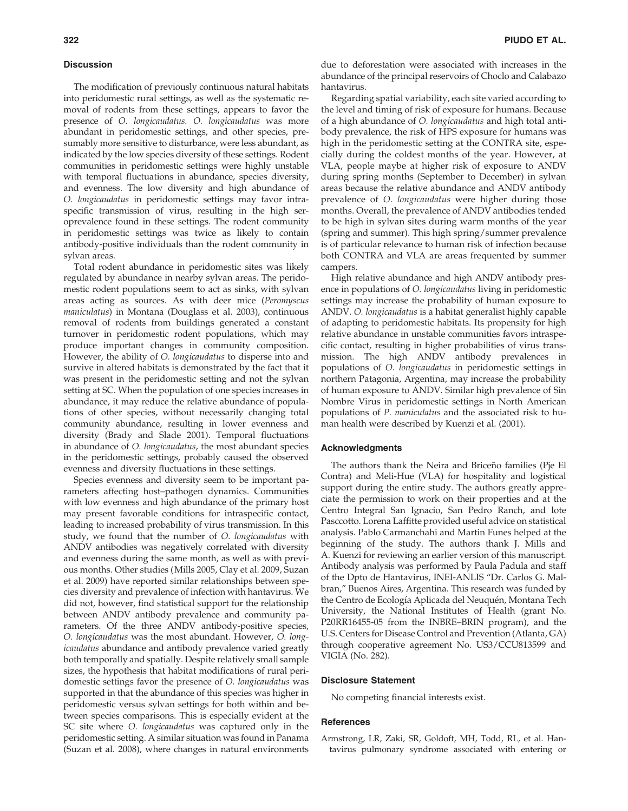#### **Discussion**

The modification of previously continuous natural habitats into peridomestic rural settings, as well as the systematic removal of rodents from these settings, appears to favor the presence of O. longicaudatus. O. longicaudatus was more abundant in peridomestic settings, and other species, presumably more sensitive to disturbance, were less abundant, as indicated by the low species diversity of these settings. Rodent communities in peridomestic settings were highly unstable with temporal fluctuations in abundance, species diversity, and evenness. The low diversity and high abundance of O. longicaudatus in peridomestic settings may favor intraspecific transmission of virus, resulting in the high seroprevalence found in these settings. The rodent community in peridomestic settings was twice as likely to contain antibody-positive individuals than the rodent community in sylvan areas.

Total rodent abundance in peridomestic sites was likely regulated by abundance in nearby sylvan areas. The peridomestic rodent populations seem to act as sinks, with sylvan areas acting as sources. As with deer mice (Peromyscus maniculatus) in Montana (Douglass et al. 2003), continuous removal of rodents from buildings generated a constant turnover in peridomestic rodent populations, which may produce important changes in community composition. However, the ability of O. longicaudatus to disperse into and survive in altered habitats is demonstrated by the fact that it was present in the peridomestic setting and not the sylvan setting at SC. When the population of one species increases in abundance, it may reduce the relative abundance of populations of other species, without necessarily changing total community abundance, resulting in lower evenness and diversity (Brady and Slade 2001). Temporal fluctuations in abundance of O. longicaudatus, the most abundant species in the peridomestic settings, probably caused the observed evenness and diversity fluctuations in these settings.

Species evenness and diversity seem to be important parameters affecting host–pathogen dynamics. Communities with low evenness and high abundance of the primary host may present favorable conditions for intraspecific contact, leading to increased probability of virus transmission. In this study, we found that the number of O. longicaudatus with ANDV antibodies was negatively correlated with diversity and evenness during the same month, as well as with previous months. Other studies (Mills 2005, Clay et al. 2009, Suzan et al. 2009) have reported similar relationships between species diversity and prevalence of infection with hantavirus. We did not, however, find statistical support for the relationship between ANDV antibody prevalence and community parameters. Of the three ANDV antibody-positive species, O. longicaudatus was the most abundant. However, O. longicaudatus abundance and antibody prevalence varied greatly both temporally and spatially. Despite relatively small sample sizes, the hypothesis that habitat modifications of rural peridomestic settings favor the presence of O. longicaudatus was supported in that the abundance of this species was higher in peridomestic versus sylvan settings for both within and between species comparisons. This is especially evident at the SC site where *O. longicaudatus* was captured only in the peridomestic setting. A similar situation was found in Panama (Suzan et al. 2008), where changes in natural environments due to deforestation were associated with increases in the abundance of the principal reservoirs of Choclo and Calabazo hantavirus.

Regarding spatial variability, each site varied according to the level and timing of risk of exposure for humans. Because of a high abundance of O. longicaudatus and high total antibody prevalence, the risk of HPS exposure for humans was high in the peridomestic setting at the CONTRA site, especially during the coldest months of the year. However, at VLA, people maybe at higher risk of exposure to ANDV during spring months (September to December) in sylvan areas because the relative abundance and ANDV antibody prevalence of O. longicaudatus were higher during those months. Overall, the prevalence of ANDV antibodies tended to be high in sylvan sites during warm months of the year (spring and summer). This high spring/summer prevalence is of particular relevance to human risk of infection because both CONTRA and VLA are areas frequented by summer campers.

High relative abundance and high ANDV antibody presence in populations of O. longicaudatus living in peridomestic settings may increase the probability of human exposure to ANDV. O. longicaudatus is a habitat generalist highly capable of adapting to peridomestic habitats. Its propensity for high relative abundance in unstable communities favors intraspecific contact, resulting in higher probabilities of virus transmission. The high ANDV antibody prevalences in populations of O. longicaudatus in peridomestic settings in northern Patagonia, Argentina, may increase the probability of human exposure to ANDV. Similar high prevalence of Sin Nombre Virus in peridomestic settings in North American populations of P. maniculatus and the associated risk to human health were described by Kuenzi et al. (2001).

## Acknowledgments

The authors thank the Neira and Briceño families (Pje El Contra) and Meli-Hue (VLA) for hospitality and logistical support during the entire study. The authors greatly appreciate the permission to work on their properties and at the Centro Integral San Ignacio, San Pedro Ranch, and lote Pasccotto. Lorena Laffitte provided useful advice on statistical analysis. Pablo Carmanchahi and Martin Funes helped at the beginning of the study. The authors thank J. Mills and A. Kuenzi for reviewing an earlier version of this manuscript. Antibody analysis was performed by Paula Padula and staff of the Dpto de Hantavirus, INEI-ANLIS ''Dr. Carlos G. Malbran,'' Buenos Aires, Argentina. This research was funded by the Centro de Ecología Aplicada del Neuquén, Montana Tech University, the National Institutes of Health (grant No. P20RR16455-05 from the INBRE–BRIN program), and the U.S. Centers for Disease Control and Prevention (Atlanta, GA) through cooperative agreement No. US3/CCU813599 and VIGIA (No. 282).

#### Disclosure Statement

No competing financial interests exist.

#### **References**

Armstrong, LR, Zaki, SR, Goldoft, MH, Todd, RL, et al. Hantavirus pulmonary syndrome associated with entering or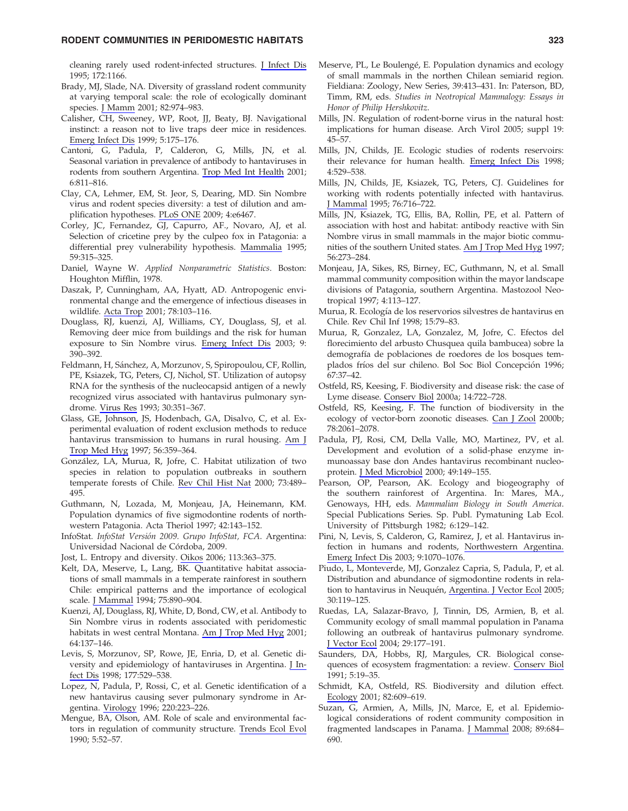## RODENT COMMUNITIES IN PERIDOMESTIC HABITATS **SANTATIS** 323

cleaning rarely used rodent-infected structures. J Infect Dis 1995; 172:1166.

- Brady, MJ, Slade, NA. Diversity of grassland rodent community at varying temporal scale: the role of ecologically dominant species. J Mamm 2001; 82:974–983.
- Calisher, CH, Sweeney, WP, Root, JJ, Beaty, BJ. Navigational instinct: a reason not to live traps deer mice in residences. Emerg Infect Dis 1999; 5:175–176.
- Cantoni, G, Padula, P, Calderon, G, Mills, JN, et al. Seasonal variation in prevalence of antibody to hantaviruses in rodents from southern Argentina. Trop Med Int Health 2001; 6:811–816.
- Clay, CA, Lehmer, EM, St. Jeor, S, Dearing, MD. Sin Nombre virus and rodent species diversity: a test of dilution and amplification hypotheses. PLoS ONE 2009; 4:e6467.
- Corley, JC, Fernandez, GJ, Capurro, AF., Novaro, AJ, et al. Selection of cricetine prey by the culpeo fox in Patagonia: a differential prey vulnerability hypothesis. Mammalia 1995; 59:315–325.
- Daniel, Wayne W. Applied Nonparametric Statistics. Boston: Houghton Mifflin, 1978.
- Daszak, P, Cunningham, AA, Hyatt, AD. Antropogenic environmental change and the emergence of infectious diseases in wildlife. Acta Trop 2001; 78:103–116.
- Douglass, RJ, kuenzi, AJ, Williams, CY, Douglass, SJ, et al. Removing deer mice from buildings and the risk for human exposure to Sin Nombre virus. Emerg Infect Dis 2003; 9: 390–392.
- Feldmann, H, Sánchez, A, Morzunov, S, Spiropoulou, CF, Rollin, PE, Ksiazek, TG, Peters, CJ, Nichol, ST. Utilization of autopsy RNA for the synthesis of the nucleocapsid antigen of a newly recognized virus associated with hantavirus pulmonary syndrome. Virus Res 1993; 30:351–367.
- Glass, GE, Johnson, JS, Hodenbach, GA, Disalvo, C, et al. Experimental evaluation of rodent exclusion methods to reduce hantavirus transmission to humans in rural housing. Am J Trop Med Hyg 1997; 56:359–364.
- González, LA, Murua, R, Jofre, C. Habitat utilization of two species in relation to population outbreaks in southern temperate forests of Chile. Rev Chil Hist Nat 2000; 73:489– 495.
- Guthmann, N, Lozada, M, Monjeau, JA, Heinemann, KM. Population dynamics of five sigmodontine rodents of northwestern Patagonia. Acta Theriol 1997; 42:143–152.
- InfoStat. InfoStat Versión 2009. Grupo InfoStat, FCA. Argentina: Universidad Nacional de Córdoba, 2009.
- Jost, L. Entropy and diversity. Oikos 2006; 113:363–375.
- Kelt, DA, Meserve, L, Lang, BK. Quantitative habitat associations of small mammals in a temperate rainforest in southern Chile: empirical patterns and the importance of ecological scale. J Mammal 1994; 75:890–904.
- Kuenzi, AJ, Douglass, RJ, White, D, Bond, CW, et al. Antibody to Sin Nombre virus in rodents associated with peridomestic habitats in west central Montana. Am J Trop Med Hyg 2001; 64:137–146.
- Levis, S, Morzunov, SP, Rowe, JE, Enria, D, et al. Genetic diversity and epidemiology of hantaviruses in Argentina. J Infect Dis 1998; 177:529–538.
- Lopez, N, Padula, P, Rossi, C, et al. Genetic identification of a new hantavirus causing sever pulmonary syndrome in Argentina. Virology 1996; 220:223–226.
- Mengue, BA, Olson, AM. Role of scale and environmental factors in regulation of community structure. Trends Ecol Evol 1990; 5:52–57.
- Meserve, PL, Le Boulengé, E. Population dynamics and ecology of small mammals in the northen Chilean semiarid region. Fieldiana: Zoology, New Series, 39:413–431. In: Paterson, BD, Timm, RM, eds. Studies in Neotropical Mammalogy: Essays in Honor of Philip Hershkovitz.
- Mills, JN. Regulation of rodent-borne virus in the natural host: implications for human disease. Arch Virol 2005; suppl 19: 45–57.
- Mills, JN, Childs, JE. Ecologic studies of rodents reservoirs: their relevance for human health. Emerg Infect Dis 1998; 4:529–538.
- Mills, JN, Childs, JE, Ksiazek, TG, Peters, CJ. Guidelines for working with rodents potentially infected with hantavirus. J Mammal 1995; 76:716–722.
- Mills, JN, Ksiazek, TG, Ellis, BA, Rollin, PE, et al. Pattern of association with host and habitat: antibody reactive with Sin Nombre virus in small mammals in the major biotic communities of the southern United states. Am J Trop Med Hyg 1997; 56:273–284.
- Monjeau, JA, Sikes, RS, Birney, EC, Guthmann, N, et al. Small mammal community composition within the mayor landscape divisions of Patagonia, southern Argentina. Mastozool Neotropical 1997; 4:113–127.
- Murua, R. Ecología de los reservorios silvestres de hantavirus en Chile. Rev Chil Inf 1998; 15:79–83.
- Murua, R, Gonzalez, LA, Gonzalez, M, Jofre, C. Efectos del florecimiento del arbusto Chusquea quila bambucea) sobre la demografía de poblaciones de roedores de los bosques templados fríos del sur chileno. Bol Soc Biol Concepción 1996; 67:37–42.
- Ostfeld, RS, Keesing, F. Biodiversity and disease risk: the case of Lyme disease. Conserv Biol 2000a; 14:722–728.
- Ostfeld, RS, Keesing, F. The function of biodiversity in the ecology of vector-born zoonotic diseases. Can J Zool 2000b; 78:2061–2078.
- Padula, PJ, Rosi, CM, Della Valle, MO, Martinez, PV, et al. Development and evolution of a solid-phase enzyme inmunoassay base don Andes hantavirus recombinant nucleoprotein. J Med Microbiol 2000; 49:149–155.
- Pearson, OP, Pearson, AK. Ecology and biogeography of the southern rainforest of Argentina. In: Mares, MA., Genoways, HH, eds. Mammalian Biology in South America. Special Publications Series. Sp. Publ. Pymatuning Lab Ecol. University of Pittsburgh 1982; 6:129–142.
- Pini, N, Levis, S, Calderon, G, Ramirez, J, et al. Hantavirus infection in humans and rodents, Northwestern Argentina. Emerg Infect Dis 2003; 9:1070–1076.
- Piudo, L, Monteverde, MJ, Gonzalez Capria, S, Padula, P, et al. Distribution and abundance of sigmodontine rodents in relation to hantavirus in Neuquén, Argentina. J Vector Ecol 2005; 30:119–125.
- Ruedas, LA, Salazar-Bravo, J, Tinnin, DS, Armien, B, et al. Community ecology of small mammal population in Panama following an outbreak of hantavirus pulmonary syndrome. J Vector Ecol 2004; 29:177–191.
- Saunders, DA, Hobbs, RJ, Margules, CR. Biological consequences of ecosystem fragmentation: a review. Conserv Biol 1991; 5:19–35.
- Schmidt, KA, Ostfeld, RS. Biodiversity and dilution effect. Ecology 2001; 82:609–619.
- Suzan, G, Armien, A, Mills, JN, Marce, E, et al. Epidemiological considerations of rodent community composition in fragmented landscapes in Panama. J Mammal 2008; 89:684– 690.